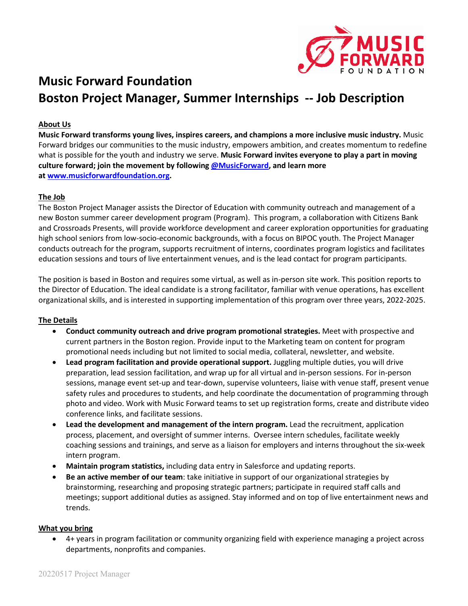

# **Music Forward Foundation Boston Project Manager, Summer Internships -- Job Description**

## **About Us**

**Music Forward transforms young lives, inspires careers, and champions a more inclusive music industry.** Music Forward bridges our communities to the music industry, empowers ambition, and creates momentum to redefine what is possible for the youth and industry we serve. **Music Forward invites everyone to play a part in moving culture forward; join the movement by following [@MusicForward,](http://@MusicForward) and learn more at [www.musicforwardfoundation.org.](http://www.musicforwardfoundation.org/)**

### **The Job**

The Boston Project Manager assists the Director of Education with community outreach and management of a new Boston summer career development program (Program). This program, a collaboration with Citizens Bank and Crossroads Presents, will provide workforce development and career exploration opportunities for graduating high school seniors from low-socio-economic backgrounds, with a focus on BIPOC youth. The Project Manager conducts outreach for the program, supports recruitment of interns, coordinates program logistics and facilitates education sessions and tours of live entertainment venues, and is the lead contact for program participants.

The position is based in Boston and requires some virtual, as well as in-person site work. This position reports to the Director of Education. The ideal candidate is a strong facilitator, familiar with venue operations, has excellent organizational skills, and is interested in supporting implementation of this program over three years, 2022-2025.

### **The Details**

- **Conduct community outreach and drive program promotional strategies.** Meet with prospective and current partners in the Boston region. Provide input to the Marketing team on content for program promotional needs including but not limited to social media, collateral, newsletter, and website.
- **Lead program facilitation and provide operational support.** Juggling multiple duties, you will drive preparation, lead session facilitation, and wrap up for all virtual and in-person sessions. For in-person sessions, manage event set-up and tear-down, supervise volunteers, liaise with venue staff, present venue safety rules and procedures to students, and help coordinate the documentation of programming through photo and video. Work with Music Forward teams to set up registration forms, create and distribute video conference links, and facilitate sessions.
- **Lead the development and management of the intern program.** Lead the recruitment, application process, placement, and oversight of summer interns. Oversee intern schedules, facilitate weekly coaching sessions and trainings, and serve as a liaison for employers and interns throughout the six-week intern program.
- **Maintain program statistics,** including data entry in Salesforce and updating reports.
- **Be an active member of our team**: take initiative in support of our organizational strategies by brainstorming, researching and proposing strategic partners; participate in required staff calls and meetings; support additional duties as assigned. Stay informed and on top of live entertainment news and trends.

#### **What you bring**

• 4+ years in program facilitation or community organizing field with experience managing a project across departments, nonprofits and companies.